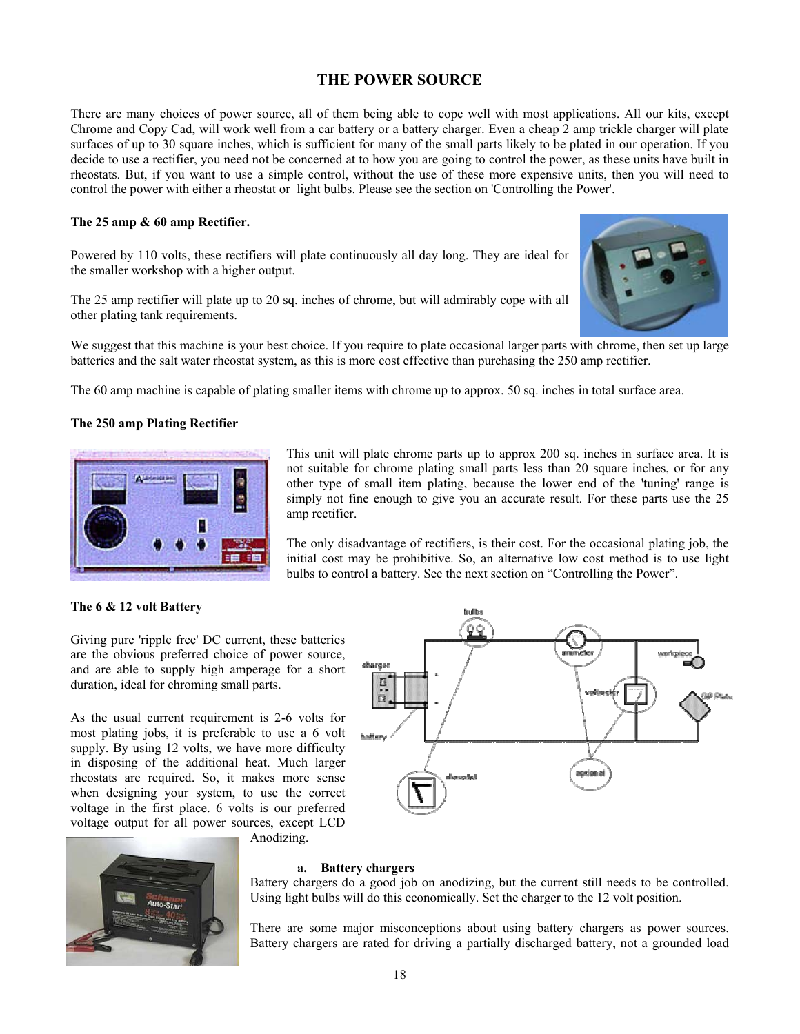# **THE POWER SOURCE**

There are many choices of power source, all of them being able to cope well with most applications. All our kits, except Chrome and Copy Cad, will work well from a car battery or a battery charger. Even a cheap 2 amp trickle charger will plate surfaces of up to 30 square inches, which is sufficient for many of the small parts likely to be plated in our operation. If you decide to use a rectifier, you need not be concerned at to how you are going to control the power, as these units have built in rheostats. But, if you want to use a simple control, without the use of these more expensive units, then you will need to control the power with either a rheostat or light bulbs. Please see the section on 'Controlling the Power'.

# **The 25 amp & 60 amp Rectifier.**

Powered by 110 volts, these rectifiers will plate continuously all day long. They are ideal for the smaller workshop with a higher output.

The 25 amp rectifier will plate up to 20 sq. inches of chrome, but will admirably cope with all other plating tank requirements.



We suggest that this machine is your best choice. If you require to plate occasional larger parts with chrome, then set up large batteries and the salt water rheostat system, as this is more cost effective than purchasing the 250 amp rectifier.

The 60 amp machine is capable of plating smaller items with chrome up to approx. 50 sq. inches in total surface area.

### **The 250 amp Plating Rectifier**



This unit will plate chrome parts up to approx 200 sq. inches in surface area. It is not suitable for chrome plating small parts less than 20 square inches, or for any other type of small item plating, because the lower end of the 'tuning' range is simply not fine enough to give you an accurate result. For these parts use the 25 amp rectifier.

The only disadvantage of rectifiers, is their cost. For the occasional plating job, the initial cost may be prohibitive. So, an alternative low cost method is to use light bulbs to control a battery. See the next section on "Controlling the Power".

### **The 6 & 12 volt Battery**

Giving pure 'ripple free' DC current, these batteries are the obvious preferred choice of power source, and are able to supply high amperage for a short duration, ideal for chroming small parts.

As the usual current requirement is 2-6 volts for most plating jobs, it is preferable to use a 6 volt supply. By using 12 volts, we have more difficulty in disposing of the additional heat. Much larger rheostats are required. So, it makes more sense when designing your system, to use the correct voltage in the first place. 6 volts is our preferred voltage output for all power sources, except LCD

Auto-Stan

Anodizing.

# **built**

### **a. Battery chargers**

Battery chargers do a good job on anodizing, but the current still needs to be controlled. Using light bulbs will do this economically. Set the charger to the 12 volt position.

There are some major misconceptions about using battery chargers as power sources. Battery chargers are rated for driving a partially discharged battery, not a grounded load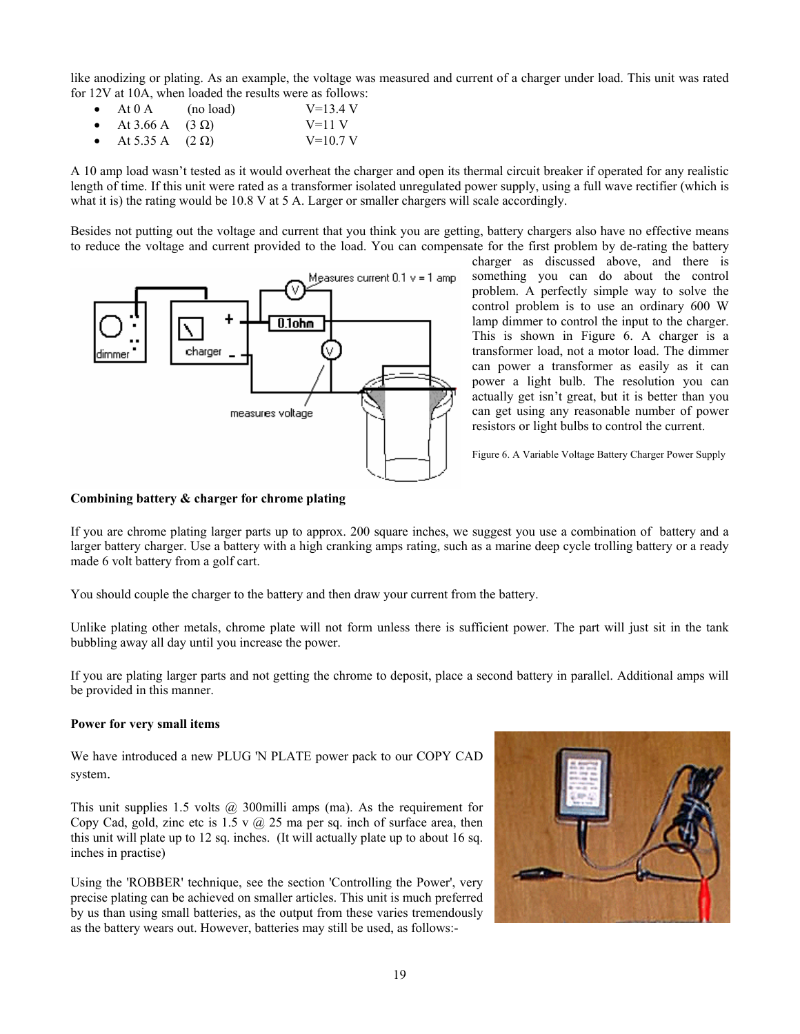like anodizing or plating. As an example, the voltage was measured and current of a charger under load. This unit was rated for 12V at 10A, when loaded the results were as follows:

|           | $\bullet$ At 0 A       | (no load) | $V=13.4 V$ |
|-----------|------------------------|-----------|------------|
| $\bullet$ | At 3.66 A $(3 \Omega)$ |           | $V=11$ V   |

At 5.35 A (2 Ω) V=10.7 V

A 10 amp load wasn't tested as it would overheat the charger and open its thermal circuit breaker if operated for any realistic length of time. If this unit were rated as a transformer isolated unregulated power supply, using a full wave rectifier (which is what it is) the rating would be 10.8 V at 5 A. Larger or smaller chargers will scale accordingly.

Besides not putting out the voltage and current that you think you are getting, battery chargers also have no effective means to reduce the voltage and current provided to the load. You can compensate for the first problem by de-rating the battery



charger as discussed above, and there is something you can do about the control problem. A perfectly simple way to solve the control problem is to use an ordinary 600 W lamp dimmer to control the input to the charger. This is shown in Figure 6. A charger is a transformer load, not a motor load. The dimmer can power a transformer as easily as it can power a light bulb. The resolution you can actually get isn't great, but it is better than you can get using any reasonable number of power resistors or light bulbs to control the current.

Figure 6. A Variable Voltage Battery Charger Power Supply

### **Combining battery & charger for chrome plating**

If you are chrome plating larger parts up to approx. 200 square inches, we suggest you use a combination of battery and a larger battery charger. Use a battery with a high cranking amps rating, such as a marine deep cycle trolling battery or a ready made 6 volt battery from a golf cart.

You should couple the charger to the battery and then draw your current from the battery.

Unlike plating other metals, chrome plate will not form unless there is sufficient power. The part will just sit in the tank bubbling away all day until you increase the power.

If you are plating larger parts and not getting the chrome to deposit, place a second battery in parallel. Additional amps will be provided in this manner.

# **Power for very small items**

We have introduced a new PLUG 'N PLATE power pack to our COPY CAD system.

This unit supplies 1.5 volts @ 300milli amps (ma). As the requirement for Copy Cad, gold, zinc etc is  $1.5 \text{ v } (a)$  25 ma per sq. inch of surface area, then this unit will plate up to 12 sq. inches. (It will actually plate up to about 16 sq. inches in practise)

Using the 'ROBBER' technique, see the section 'Controlling the Power', very precise plating can be achieved on smaller articles. This unit is much preferred by us than using small batteries, as the output from these varies tremendously as the battery wears out. However, batteries may still be used, as follows:-

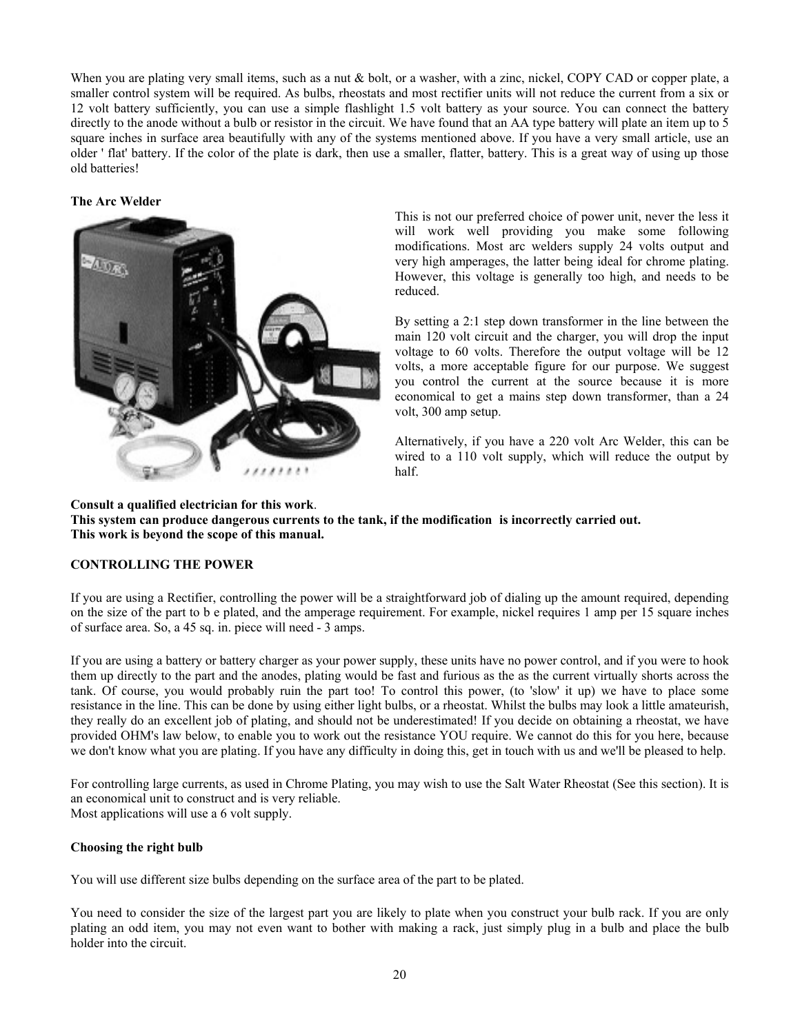When you are plating very small items, such as a nut & bolt, or a washer, with a zinc, nickel, COPY CAD or copper plate, a smaller control system will be required. As bulbs, rheostats and most rectifier units will not reduce the current from a six or 12 volt battery sufficiently, you can use a simple flashlight 1.5 volt battery as your source. You can connect the battery directly to the anode without a bulb or resistor in the circuit. We have found that an AA type battery will plate an item up to 5 square inches in surface area beautifully with any of the systems mentioned above. If you have a very small article, use an older ' flat' battery. If the color of the plate is dark, then use a smaller, flatter, battery. This is a great way of using up those old batteries!

# **The Arc Welder**



This is not our preferred choice of power unit, never the less it will work well providing you make some following modifications. Most arc welders supply 24 volts output and very high amperages, the latter being ideal for chrome plating. However, this voltage is generally too high, and needs to be reduced.

By setting a 2:1 step down transformer in the line between the main 120 volt circuit and the charger, you will drop the input voltage to 60 volts. Therefore the output voltage will be 12 volts, a more acceptable figure for our purpose. We suggest you control the current at the source because it is more economical to get a mains step down transformer, than a 24 volt, 300 amp setup.

Alternatively, if you have a 220 volt Arc Welder, this can be wired to a 110 volt supply, which will reduce the output by half.

### **Consult a qualified electrician for this work**. **This system can produce dangerous currents to the tank, if the modification is incorrectly carried out. This work is beyond the scope of this manual.**

# **CONTROLLING THE POWER**

If you are using a Rectifier, controlling the power will be a straightforward job of dialing up the amount required, depending on the size of the part to b e plated, and the amperage requirement. For example, nickel requires 1 amp per 15 square inches of surface area. So, a 45 sq. in. piece will need - 3 amps.

If you are using a battery or battery charger as your power supply, these units have no power control, and if you were to hook them up directly to the part and the anodes, plating would be fast and furious as the as the current virtually shorts across the tank. Of course, you would probably ruin the part too! To control this power, (to 'slow' it up) we have to place some resistance in the line. This can be done by using either light bulbs, or a rheostat. Whilst the bulbs may look a little amateurish, they really do an excellent job of plating, and should not be underestimated! If you decide on obtaining a rheostat, we have provided OHM's law below, to enable you to work out the resistance YOU require. We cannot do this for you here, because we don't know what you are plating. If you have any difficulty in doing this, get in touch with us and we'll be pleased to help.

For controlling large currents, as used in Chrome Plating, you may wish to use the Salt Water Rheostat (See this section). It is an economical unit to construct and is very reliable. Most applications will use a 6 volt supply.

# **Choosing the right bulb**

You will use different size bulbs depending on the surface area of the part to be plated.

You need to consider the size of the largest part you are likely to plate when you construct your bulb rack. If you are only plating an odd item, you may not even want to bother with making a rack, just simply plug in a bulb and place the bulb holder into the circuit.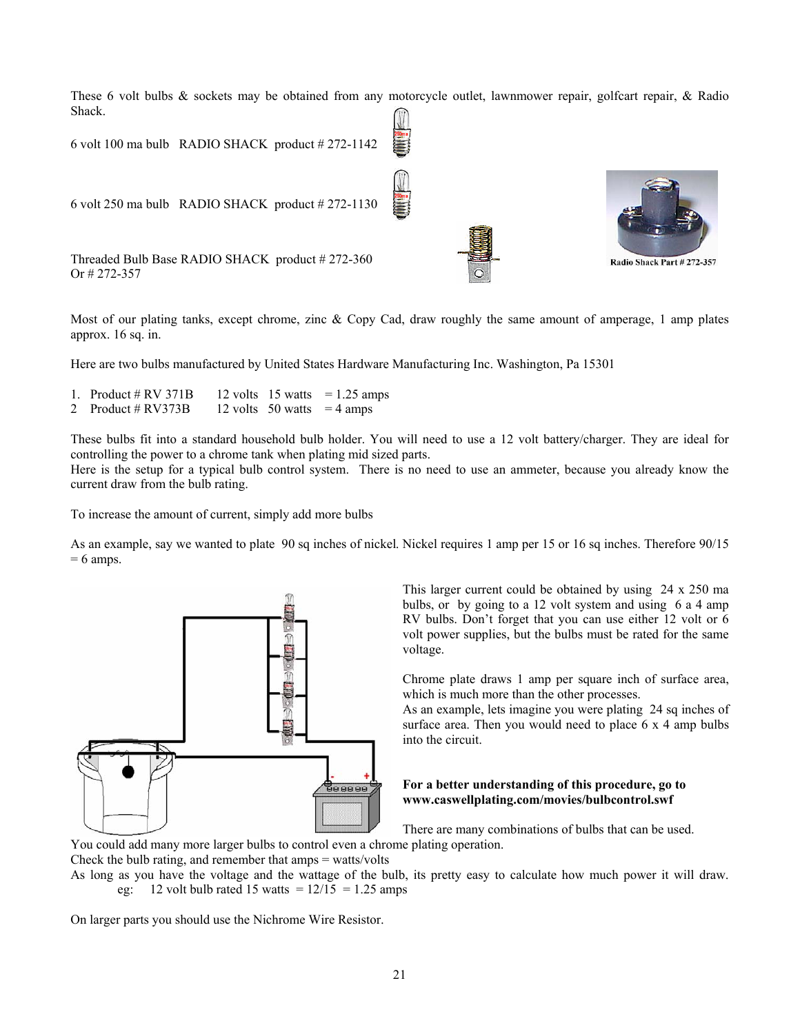These 6 volt bulbs & sockets may be obtained from any motorcycle outlet, lawnmower repair, golfcart repair, & Radio Shack.

6 volt 100 ma bulb RADIO SHACK product # 272-1142

6 volt 250 ma bulb RADIO SHACK product # 272-1130

Threaded Bulb Base RADIO SHACK product # 272-360 Or # 272-357

Radio Shack Part # 272-357

Most of our plating tanks, except chrome, zinc  $\&$  Copy Cad, draw roughly the same amount of amperage, 1 amp plates approx. 16 sq. in.

Here are two bulbs manufactured by United States Hardware Manufacturing Inc. Washington, Pa 15301

| 1. Product $\#$ RV 371B |  | 12 volts 15 watts $= 1.25$ amps |
|-------------------------|--|---------------------------------|
| 2 Product # $RV373B$    |  | 12 volts 50 watts $=$ 4 amps    |

These bulbs fit into a standard household bulb holder. You will need to use a 12 volt battery/charger. They are ideal for controlling the power to a chrome tank when plating mid sized parts.

Here is the setup for a typical bulb control system. There is no need to use an ammeter, because you already know the current draw from the bulb rating.

To increase the amount of current, simply add more bulbs

As an example, say we wanted to plate 90 sq inches of nickel. Nickel requires 1 amp per 15 or 16 sq inches. Therefore 90/15  $= 6$  amps.



This larger current could be obtained by using 24 x 250 ma bulbs, or by going to a 12 volt system and using 6 a 4 amp RV bulbs. Don't forget that you can use either 12 volt or 6 volt power supplies, but the bulbs must be rated for the same voltage.

Chrome plate draws 1 amp per square inch of surface area, which is much more than the other processes.

As an example, lets imagine you were plating 24 sq inches of surface area. Then you would need to place 6 x 4 amp bulbs into the circuit.

### **For a better understanding of this procedure, go to www.caswellplating.com/movies/bulbcontrol.swf**

There are many combinations of bulbs that can be used.

You could add many more larger bulbs to control even a chrome plating operation. Check the bulb rating, and remember that amps = watts/volts

As long as you have the voltage and the wattage of the bulb, its pretty easy to calculate how much power it will draw. eg: 12 volt bulb rated 15 watts =  $12/15 = 1.25$  amps

On larger parts you should use the Nichrome Wire Resistor.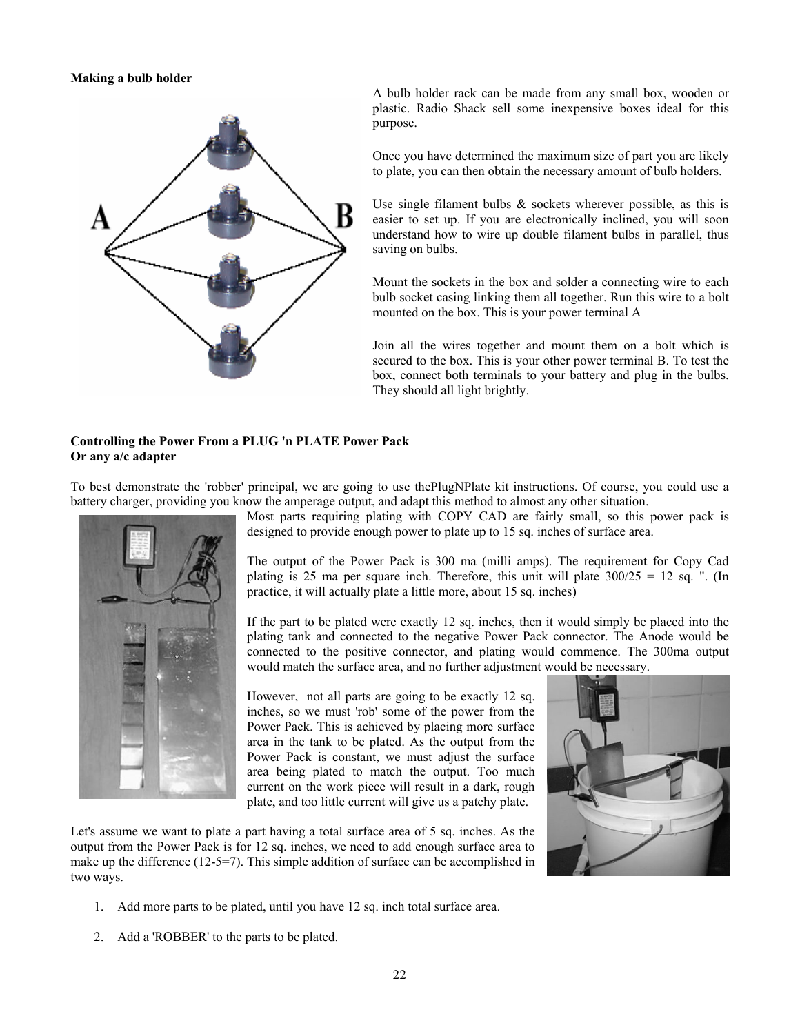### **Making a bulb holder**



A bulb holder rack can be made from any small box, wooden or plastic. Radio Shack sell some inexpensive boxes ideal for this purpose.

Once you have determined the maximum size of part you are likely to plate, you can then obtain the necessary amount of bulb holders.

Use single filament bulbs  $\&$  sockets wherever possible, as this is easier to set up. If you are electronically inclined, you will soon understand how to wire up double filament bulbs in parallel, thus saving on bulbs.

Mount the sockets in the box and solder a connecting wire to each bulb socket casing linking them all together. Run this wire to a bolt mounted on the box. This is your power terminal A

Join all the wires together and mount them on a bolt which is secured to the box. This is your other power terminal B. To test the box, connect both terminals to your battery and plug in the bulbs. They should all light brightly.

# **Controlling the Power From a PLUG 'n PLATE Power Pack Or any a/c adapter**

To best demonstrate the 'robber' principal, we are going to use thePlugNPlate kit instructions. Of course, you could use a battery charger, providing you know the amperage output, and adapt this method to almost any other situation.



Most parts requiring plating with COPY CAD are fairly small, so this power pack is designed to provide enough power to plate up to 15 sq. inches of surface area.

The output of the Power Pack is 300 ma (milli amps). The requirement for Copy Cad plating is 25 ma per square inch. Therefore, this unit will plate  $300/25 = 12$  sq. ". (In practice, it will actually plate a little more, about 15 sq. inches)

If the part to be plated were exactly 12 sq. inches, then it would simply be placed into the plating tank and connected to the negative Power Pack connector. The Anode would be connected to the positive connector, and plating would commence. The 300ma output would match the surface area, and no further adjustment would be necessary.

However, not all parts are going to be exactly 12 sq. inches, so we must 'rob' some of the power from the Power Pack. This is achieved by placing more surface area in the tank to be plated. As the output from the Power Pack is constant, we must adjust the surface area being plated to match the output. Too much current on the work piece will result in a dark, rough plate, and too little current will give us a patchy plate.



Let's assume we want to plate a part having a total surface area of 5 sq. inches. As the output from the Power Pack is for 12 sq. inches, we need to add enough surface area to make up the difference (12-5=7). This simple addition of surface can be accomplished in two ways.

- 1. Add more parts to be plated, until you have 12 sq. inch total surface area.
- 2. Add a 'ROBBER' to the parts to be plated.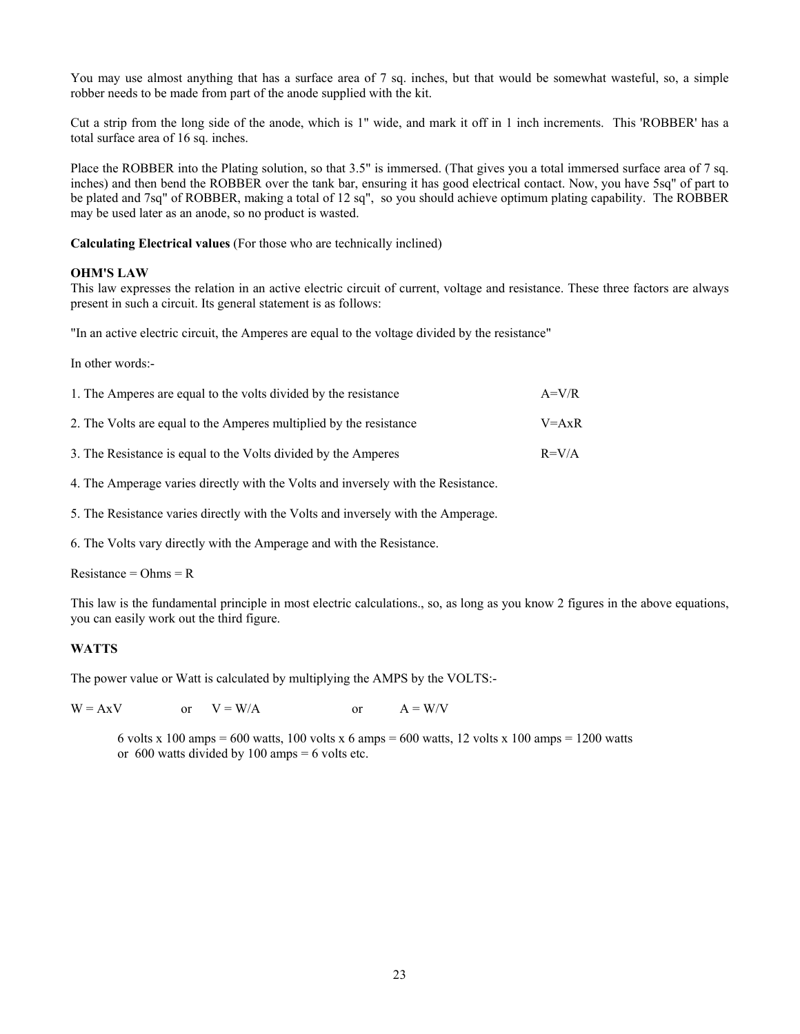You may use almost anything that has a surface area of 7 sq. inches, but that would be somewhat wasteful, so, a simple robber needs to be made from part of the anode supplied with the kit.

Cut a strip from the long side of the anode, which is 1" wide, and mark it off in 1 inch increments. This 'ROBBER' has a total surface area of 16 sq. inches.

Place the ROBBER into the Plating solution, so that 3.5" is immersed. (That gives you a total immersed surface area of 7 sq. inches) and then bend the ROBBER over the tank bar, ensuring it has good electrical contact. Now, you have 5sq" of part to be plated and 7sq" of ROBBER, making a total of 12 sq", so you should achieve optimum plating capability. The ROBBER may be used later as an anode, so no product is wasted.

**Calculating Electrical values** (For those who are technically inclined)

# **OHM'S LAW**

This law expresses the relation in an active electric circuit of current, voltage and resistance. These three factors are always present in such a circuit. Its general statement is as follows:

"In an active electric circuit, the Amperes are equal to the voltage divided by the resistance"

In other words:-

| 1. The Amperes are equal to the volts divided by the resistance    | $A=V/R$     |
|--------------------------------------------------------------------|-------------|
| 2. The Volts are equal to the Amperes multiplied by the resistance | $V = A x R$ |
| 3. The Resistance is equal to the Volts divided by the Amperes     | $R=V/A$     |

4. The Amperage varies directly with the Volts and inversely with the Resistance.

5. The Resistance varies directly with the Volts and inversely with the Amperage.

6. The Volts vary directly with the Amperage and with the Resistance.

 $Resistance = Ohms = R$ 

This law is the fundamental principle in most electric calculations., so, as long as you know 2 figures in the above equations, you can easily work out the third figure.

# **WATTS**

The power value or Watt is calculated by multiplying the AMPS by the VOLTS:-

 $W = A x V$  or  $V = W/A$  or  $A = W/V$ 

6 volts x 100 amps =  $600$  watts, 100 volts x 6 amps =  $600$  watts, 12 volts x 100 amps = 1200 watts or  $600$  watts divided by  $100$  amps = 6 volts etc.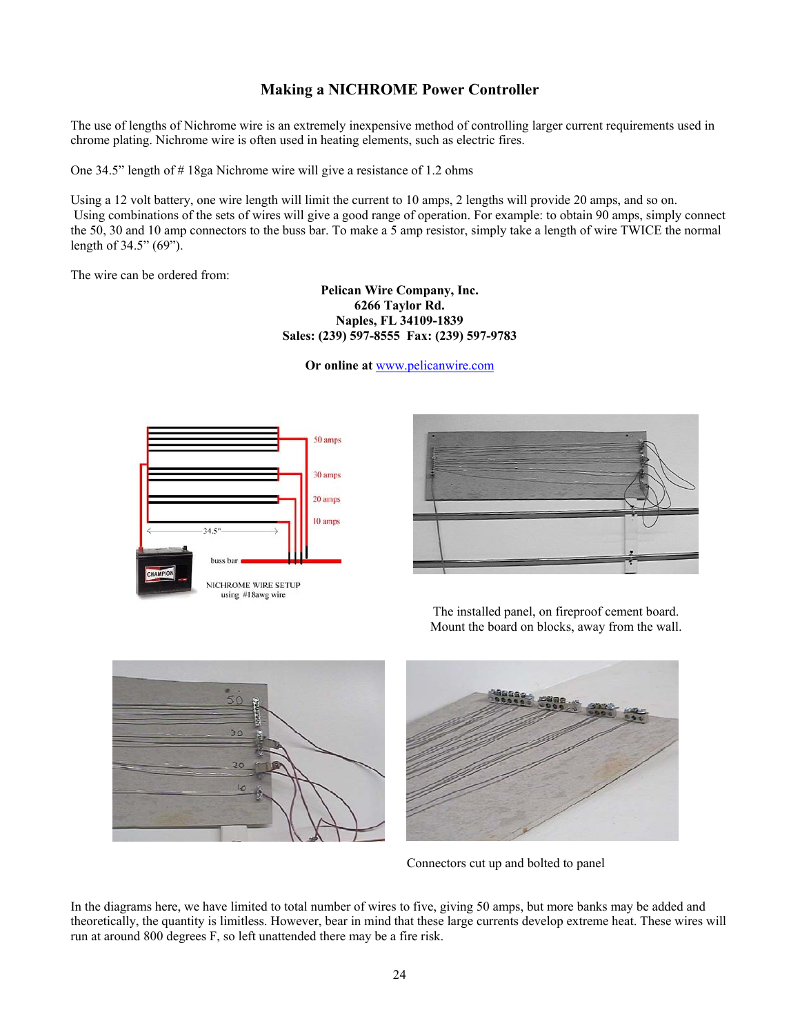# **Making a NICHROME Power Controller**

The use of lengths of Nichrome wire is an extremely inexpensive method of controlling larger current requirements used in chrome plating. Nichrome wire is often used in heating elements, such as electric fires.

One 34.5" length of # 18ga Nichrome wire will give a resistance of 1.2 ohms

Using a 12 volt battery, one wire length will limit the current to 10 amps, 2 lengths will provide 20 amps, and so on. Using combinations of the sets of wires will give a good range of operation. For example: to obtain 90 amps, simply connect the 50, 30 and 10 amp connectors to the buss bar. To make a 5 amp resistor, simply take a length of wire TWICE the normal length of 34.5" (69").

The wire can be ordered from:

# **Pelican Wire Company, Inc. 6266 Taylor Rd. Naples, FL 34109-1839 Sales: (239) 597-8555 Fax: (239) 597-9783**

**Or online at** www.pelicanwire.com





The installed panel, on fireproof cement board. Mount the board on blocks, away from the wall.





Connectors cut up and bolted to panel

In the diagrams here, we have limited to total number of wires to five, giving 50 amps, but more banks may be added and theoretically, the quantity is limitless. However, bear in mind that these large currents develop extreme heat. These wires will run at around 800 degrees F, so left unattended there may be a fire risk.